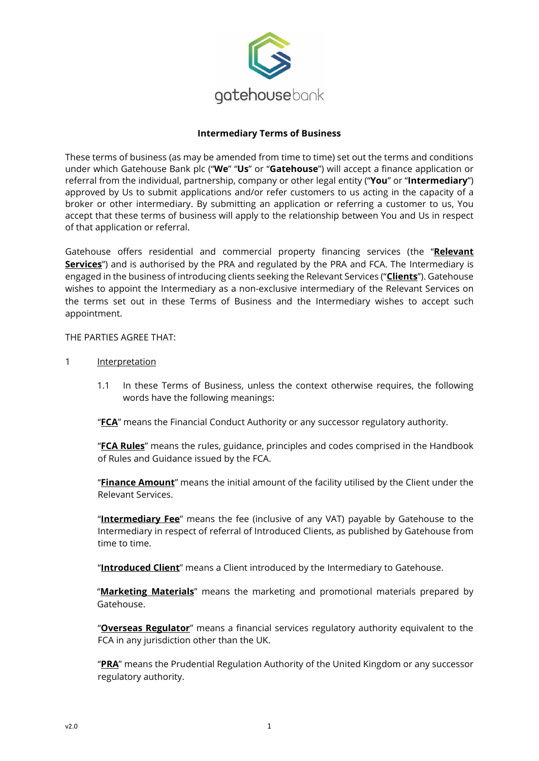

## **Intermediary Terms of Business**

These terms of business (as may be amended from time to time) set out the terms and conditions under which Gatehouse Bank plc ("**We**" "**Us**" or "**Gatehouse**") will accept a finance application or referral from the individual, partnership, company or other legal entity ("**You**" or "**Intermediary**") approved by Us to submit applications and/or refer customers to us acting in the capacity of a broker or other intermediary. By submitting an application or referring a customer to us, You accept that these terms of business will apply to the relationship between You and Us in respect of that application or referral.

Gatehouse offers residential and commercial property financing services (the "**Relevant Services**") and is authorised by the PRA and regulated by the PRA and FCA. The Intermediary is engaged in the business of introducing clients seeking the Relevant Services ("**Clients**"). Gatehouse wishes to appoint the Intermediary as a non-exclusive intermediary of the Relevant Services on the terms set out in these Terms of Business and the Intermediary wishes to accept such appointment.

THE PARTIES AGREE THAT:

- 1 Interpretation
	- 1.1 In these Terms of Business, unless the context otherwise requires, the following words have the following meanings:

"**FCA**" means the Financial Conduct Authority or any successor regulatory authority.

"**FCA Rules**" means the rules, guidance, principles and codes comprised in the Handbook of Rules and Guidance issued by the FCA.

"**Finance Amount**" means the initial amount of the facility utilised by the Client under the Relevant Services.

"**Intermediary Fee**" means the fee (inclusive of any VAT) payable by Gatehouse to the Intermediary in respect of referral of Introduced Clients, as published by Gatehouse from time to time.

"**Introduced Client**" means a Client introduced by the Intermediary to Gatehouse.

"**Marketing Materials**" means the marketing and promotional materials prepared by Gatehouse.

"**Overseas Regulator**" means a financial services regulatory authority equivalent to the FCA in any jurisdiction other than the UK.

"**PRA**" means the Prudential Regulation Authority of the United Kingdom or any successor regulatory authority.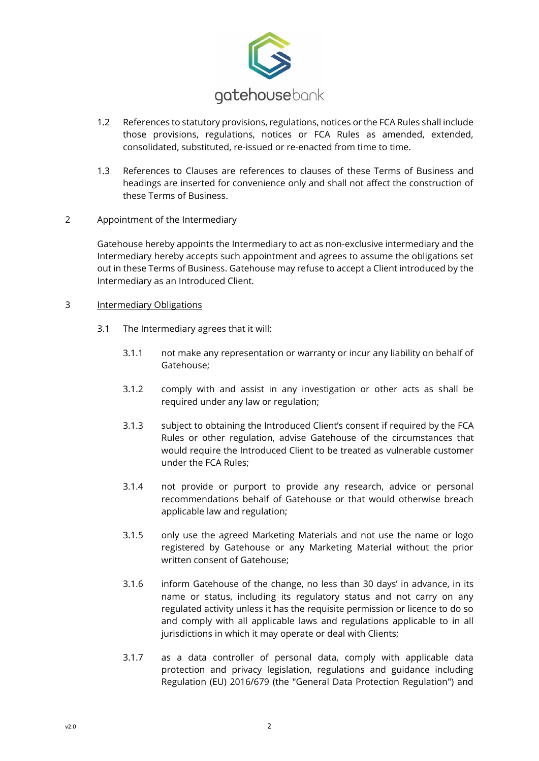

- 1.2 References to statutory provisions, regulations, notices or the FCA Rules shall include those provisions, regulations, notices or FCA Rules as amended, extended, consolidated, substituted, re-issued or re-enacted from time to time.
- 1.3 References to Clauses are references to clauses of these Terms of Business and headings are inserted for convenience only and shall not affect the construction of these Terms of Business.

## 2 Appointment of the Intermediary

Gatehouse hereby appoints the Intermediary to act as non-exclusive intermediary and the Intermediary hereby accepts such appointment and agrees to assume the obligations set out in these Terms of Business. Gatehouse may refuse to accept a Client introduced by the Intermediary as an Introduced Client.

#### 3 Intermediary Obligations

- 3.1 The Intermediary agrees that it will:
	- 3.1.1 not make any representation or warranty or incur any liability on behalf of Gatehouse;
	- 3.1.2 comply with and assist in any investigation or other acts as shall be required under any law or regulation;
	- 3.1.3 subject to obtaining the Introduced Client's consent if required by the FCA Rules or other regulation, advise Gatehouse of the circumstances that would require the Introduced Client to be treated as vulnerable customer under the FCA Rules;
	- 3.1.4 not provide or purport to provide any research, advice or personal recommendations behalf of Gatehouse or that would otherwise breach applicable law and regulation;
	- 3.1.5 only use the agreed Marketing Materials and not use the name or logo registered by Gatehouse or any Marketing Material without the prior written consent of Gatehouse;
	- 3.1.6 inform Gatehouse of the change, no less than 30 days' in advance, in its name or status, including its regulatory status and not carry on any regulated activity unless it has the requisite permission or licence to do so and comply with all applicable laws and regulations applicable to in all jurisdictions in which it may operate or deal with Clients;
	- 3.1.7 as a data controller of personal data, comply with applicable data protection and privacy legislation, regulations and guidance including Regulation (EU) 2016/679 (the "General Data Protection Regulation") and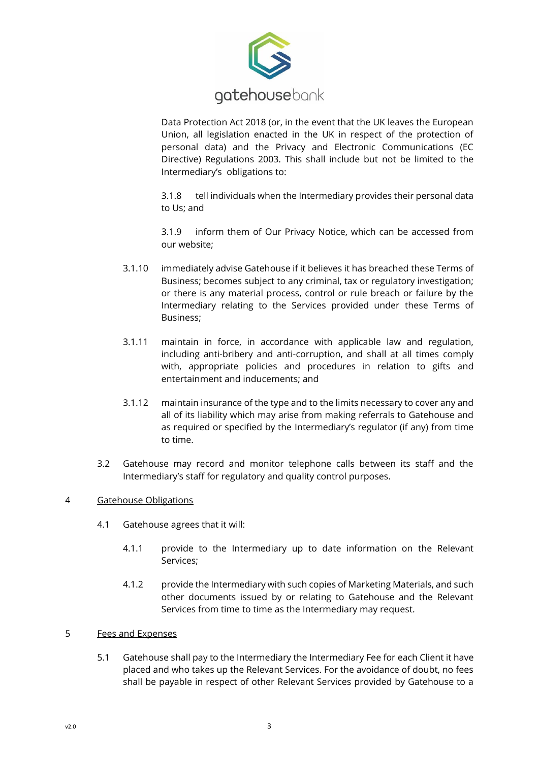

Data Protection Act 2018 (or, in the event that the UK leaves the European Union, all legislation enacted in the UK in respect of the protection of personal data) and the Privacy and Electronic Communications (EC Directive) Regulations 2003. This shall include but not be limited to the Intermediary's obligations to:

3.1.8 tell individuals when the Intermediary provides their personal data to Us; and

3.1.9 inform them of Our Privacy Notice, which can be accessed from our website;

- 3.1.10 immediately advise Gatehouse if it believes it has breached these Terms of Business; becomes subject to any criminal, tax or regulatory investigation; or there is any material process, control or rule breach or failure by the Intermediary relating to the Services provided under these Terms of Business;
- 3.1.11 maintain in force, in accordance with applicable law and regulation, including anti-bribery and anti-corruption, and shall at all times comply with, appropriate policies and procedures in relation to gifts and entertainment and inducements; and
- 3.1.12 maintain insurance of the type and to the limits necessary to cover any and all of its liability which may arise from making referrals to Gatehouse and as required or specified by the Intermediary's regulator (if any) from time to time.
- 3.2 Gatehouse may record and monitor telephone calls between its staff and the Intermediary's staff for regulatory and quality control purposes.

# 4 Gatehouse Obligations

- 4.1 Gatehouse agrees that it will:
	- 4.1.1 provide to the Intermediary up to date information on the Relevant Services;
	- 4.1.2 provide the Intermediary with such copies of Marketing Materials, and such other documents issued by or relating to Gatehouse and the Relevant Services from time to time as the Intermediary may request.

### 5 Fees and Expenses

5.1 Gatehouse shall pay to the Intermediary the Intermediary Fee for each Client it have placed and who takes up the Relevant Services. For the avoidance of doubt, no fees shall be payable in respect of other Relevant Services provided by Gatehouse to a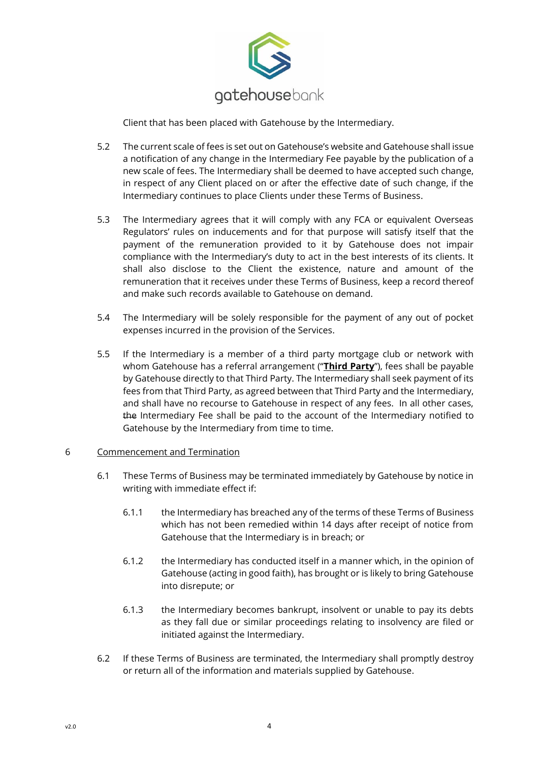

Client that has been placed with Gatehouse by the Intermediary.

- 5.2 The current scale of fees is set out on Gatehouse's website and Gatehouse shall issue a notification of any change in the Intermediary Fee payable by the publication of a new scale of fees. The Intermediary shall be deemed to have accepted such change, in respect of any Client placed on or after the effective date of such change, if the Intermediary continues to place Clients under these Terms of Business.
- 5.3 The Intermediary agrees that it will comply with any FCA or equivalent Overseas Regulators' rules on inducements and for that purpose will satisfy itself that the payment of the remuneration provided to it by Gatehouse does not impair compliance with the Intermediary's duty to act in the best interests of its clients. It shall also disclose to the Client the existence, nature and amount of the remuneration that it receives under these Terms of Business, keep a record thereof and make such records available to Gatehouse on demand.
- 5.4 The Intermediary will be solely responsible for the payment of any out of pocket expenses incurred in the provision of the Services.
- 5.5 If the Intermediary is a member of a third party mortgage club or network with whom Gatehouse has a referral arrangement ("**Third Party**"), fees shall be payable by Gatehouse directly to that Third Party. The Intermediary shall seek payment of its fees from that Third Party, as agreed between that Third Party and the Intermediary, and shall have no recourse to Gatehouse in respect of any fees. In all other cases, the Intermediary Fee shall be paid to the account of the Intermediary notified to Gatehouse by the Intermediary from time to time.

#### 6 Commencement and Termination

- 6.1 These Terms of Business may be terminated immediately by Gatehouse by notice in writing with immediate effect if:
	- 6.1.1 the Intermediary has breached any of the terms of these Terms of Business which has not been remedied within 14 days after receipt of notice from Gatehouse that the Intermediary is in breach; or
	- 6.1.2 the Intermediary has conducted itself in a manner which, in the opinion of Gatehouse (acting in good faith), has brought or is likely to bring Gatehouse into disrepute; or
	- 6.1.3 the Intermediary becomes bankrupt, insolvent or unable to pay its debts as they fall due or similar proceedings relating to insolvency are filed or initiated against the Intermediary.
- 6.2 If these Terms of Business are terminated, the Intermediary shall promptly destroy or return all of the information and materials supplied by Gatehouse.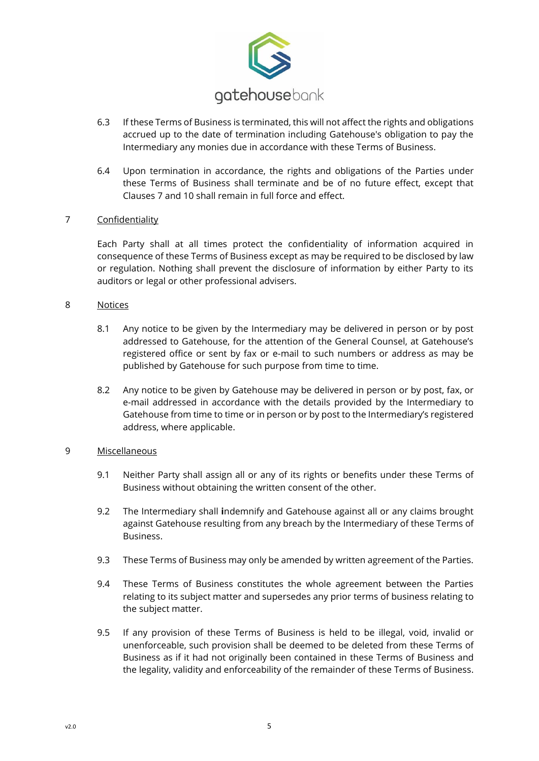

- 6.3 If these Terms of Business is terminated, this will not affect the rights and obligations accrued up to the date of termination including Gatehouse's obligation to pay the Intermediary any monies due in accordance with these Terms of Business.
- 6.4 Upon termination in accordance, the rights and obligations of the Parties under these Terms of Business shall terminate and be of no future effect, except that Clauses 7 and 10 shall remain in full force and effect.

## 7 Confidentiality

Each Party shall at all times protect the confidentiality of information acquired in consequence of these Terms of Business except as may be required to be disclosed by law or regulation. Nothing shall prevent the disclosure of information by either Party to its auditors or legal or other professional advisers.

#### 8 Notices

- 8.1 Any notice to be given by the Intermediary may be delivered in person or by post addressed to Gatehouse, for the attention of the General Counsel, at Gatehouse's registered office or sent by fax or e-mail to such numbers or address as may be published by Gatehouse for such purpose from time to time.
- 8.2 Any notice to be given by Gatehouse may be delivered in person or by post, fax, or e-mail addressed in accordance with the details provided by the Intermediary to Gatehouse from time to time or in person or by post to the Intermediary's registered address, where applicable.

#### 9 Miscellaneous

- 9.1 Neither Party shall assign all or any of its rights or benefits under these Terms of Business without obtaining the written consent of the other.
- 9.2 The Intermediary shall **i**ndemnify and Gatehouse against all or any claims brought against Gatehouse resulting from any breach by the Intermediary of these Terms of Business.
- 9.3 These Terms of Business may only be amended by written agreement of the Parties.
- 9.4 These Terms of Business constitutes the whole agreement between the Parties relating to its subject matter and supersedes any prior terms of business relating to the subject matter.
- 9.5 If any provision of these Terms of Business is held to be illegal, void, invalid or unenforceable, such provision shall be deemed to be deleted from these Terms of Business as if it had not originally been contained in these Terms of Business and the legality, validity and enforceability of the remainder of these Terms of Business.